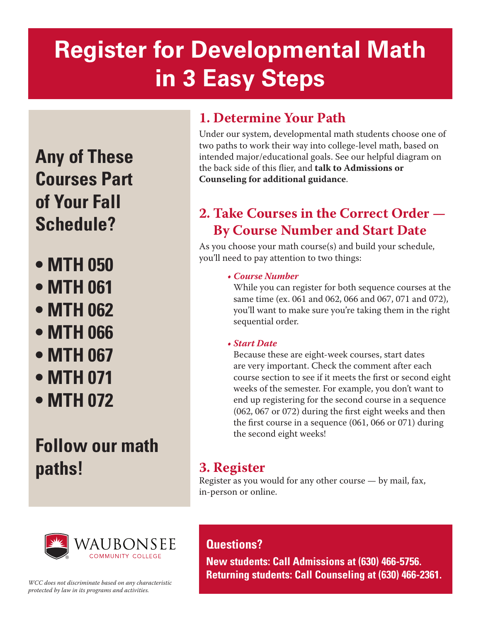# **Register for Developmental Math in 3 Easy Steps**

**Any of These Courses Part of Your Fall Schedule?**

- **MTH 050**
- **MTH 061**
- **MTH 062**
- **MTH 066**
- **MTH 067**
- **MTH 071**
- **MTH 072**

## **Follow our math paths!**

## **1. Determine Your Path**

Under our system, developmental math students choose one of two paths to work their way into college-level math, based on intended major/educational goals. See our helpful diagram on the back side of this flier, and **talk to Admissions or Counseling for additional guidance**.

## **2. Take Courses in the Correct Order — By Course Number and Start Date**

As you choose your math course(s) and build your schedule, you'll need to pay attention to two things:

#### *• Course Number*

While you can register for both sequence courses at the same time (ex. 061 and 062, 066 and 067, 071 and 072), you'll want to make sure you're taking them in the right sequential order.

#### *• Start Date*

Because these are eight-week courses, start dates are very important. Check the comment after each course section to see if it meets the first or second eight weeks of the semester. For example, you don't want to end up registering for the second course in a sequence (062, 067 or 072) during the first eight weeks and then the first course in a sequence (061, 066 or 071) during the second eight weeks!

### **3. Register**

**Questions?** 

Register as you would for any other course — by mail, fax, in-person or online.



*WCC does not discriminate based on any characteristic protected by law in its programs and activities.* 

**New students: Call Admissions at (630) 466-5756. Returning students: Call Counseling at (630) 466-2361.**